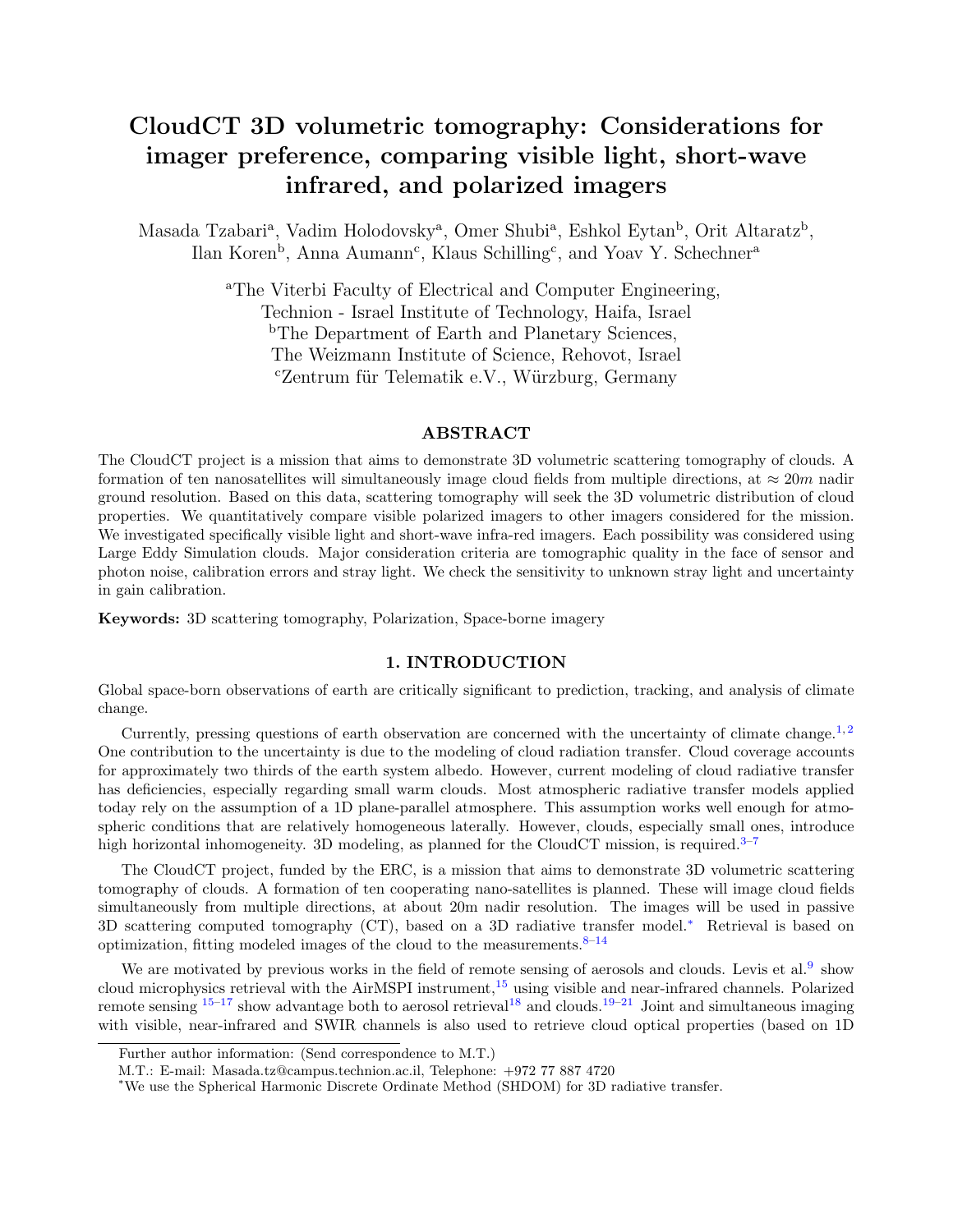# CloudCT 3D volumetric tomography: Considerations for imager preference, comparing visible light, short-wave infrared, and polarized imagers

Masada Tzabari<sup>a</sup>, Vadim Holodovsky<sup>a</sup>, Omer Shubi<sup>a</sup>, Eshkol Eytan<sup>b</sup>, Orit Altaratz<sup>b</sup>, Ilan Koren<sup>b</sup>, Anna Aumann<sup>c</sup>, Klaus Schilling<sup>c</sup>, and Yoav Y. Schechner<sup>a</sup>

> <sup>a</sup>The Viterbi Faculty of Electrical and Computer Engineering, Technion - Israel Institute of Technology, Haifa, Israel <sup>b</sup>The Department of Earth and Planetary Sciences, The Weizmann Institute of Science, Rehovot, Israel  $c$ Zentrum für Telematik e.V., Würzburg, Germany

### ABSTRACT

The CloudCT project is a mission that aims to demonstrate 3D volumetric scattering tomography of clouds. A formation of ten nanosatellites will simultaneously image cloud fields from multiple directions, at  $\approx 20m$  nadir ground resolution. Based on this data, scattering tomography will seek the 3D volumetric distribution of cloud properties. We quantitatively compare visible polarized imagers to other imagers considered for the mission. We investigated specifically visible light and short-wave infra-red imagers. Each possibility was considered using Large Eddy Simulation clouds. Major consideration criteria are tomographic quality in the face of sensor and photon noise, calibration errors and stray light. We check the sensitivity to unknown stray light and uncertainty in gain calibration.

Keywords: 3D scattering tomography, Polarization, Space-borne imagery

## 1. INTRODUCTION

Global space-born observations of earth are critically significant to prediction, tracking, and analysis of climate change.

Currently, pressing questions of earth observation are concerned with the uncertainty of climate change.<sup>[1,](#page-6-0) [2](#page-6-1)</sup> One contribution to the uncertainty is due to the modeling of cloud radiation transfer. Cloud coverage accounts for approximately two thirds of the earth system albedo. However, current modeling of cloud radiative transfer has deficiencies, especially regarding small warm clouds. Most atmospheric radiative transfer models applied today rely on the assumption of a 1D plane-parallel atmosphere. This assumption works well enough for atmospheric conditions that are relatively homogeneous laterally. However, clouds, especially small ones, introduce high horizontal inhomogeneity. 3D modeling, as planned for the CloudCT mission, is required.<sup>[3–](#page-6-2)[7](#page-6-3)</sup>

The CloudCT project, funded by the ERC, is a mission that aims to demonstrate 3D volumetric scattering tomography of clouds. A formation of ten cooperating nano-satellites is planned. These will image cloud fields simultaneously from multiple directions, at about 20m nadir resolution. The images will be used in passive 3D scattering computed tomography (CT), based on a 3D radiative transfer model.[∗](#page-0-0) Retrieval is based on optimization, fitting modeled images of the cloud to the measurements. $8-14$  $8-14$ 

We are motivated by previous works in the field of remote sensing of aerosols and clouds. Levis et al.<sup>[9](#page-6-6)</sup> show cloud microphysics retrieval with the AirMSPI instrument,<sup>[15](#page-6-7)</sup> using visible and near-infrared channels. Polarized remote sensing  $15-17$  $15-17$  show advantage both to aerosol retrieval<sup>[18](#page-7-0)</sup> and clouds.<sup>[19](#page-7-1)[–21](#page-7-2)</sup> Joint and simultaneous imaging with visible, near-infrared and SWIR channels is also used to retrieve cloud optical properties (based on 1D

Further author information: (Send correspondence to M.T.)

M.T.: E-mail: Masada.tz@campus.technion.ac.il, Telephone: +972 77 887 4720

<span id="page-0-0"></span><sup>∗</sup>We use the Spherical Harmonic Discrete Ordinate Method (SHDOM) for 3D radiative transfer.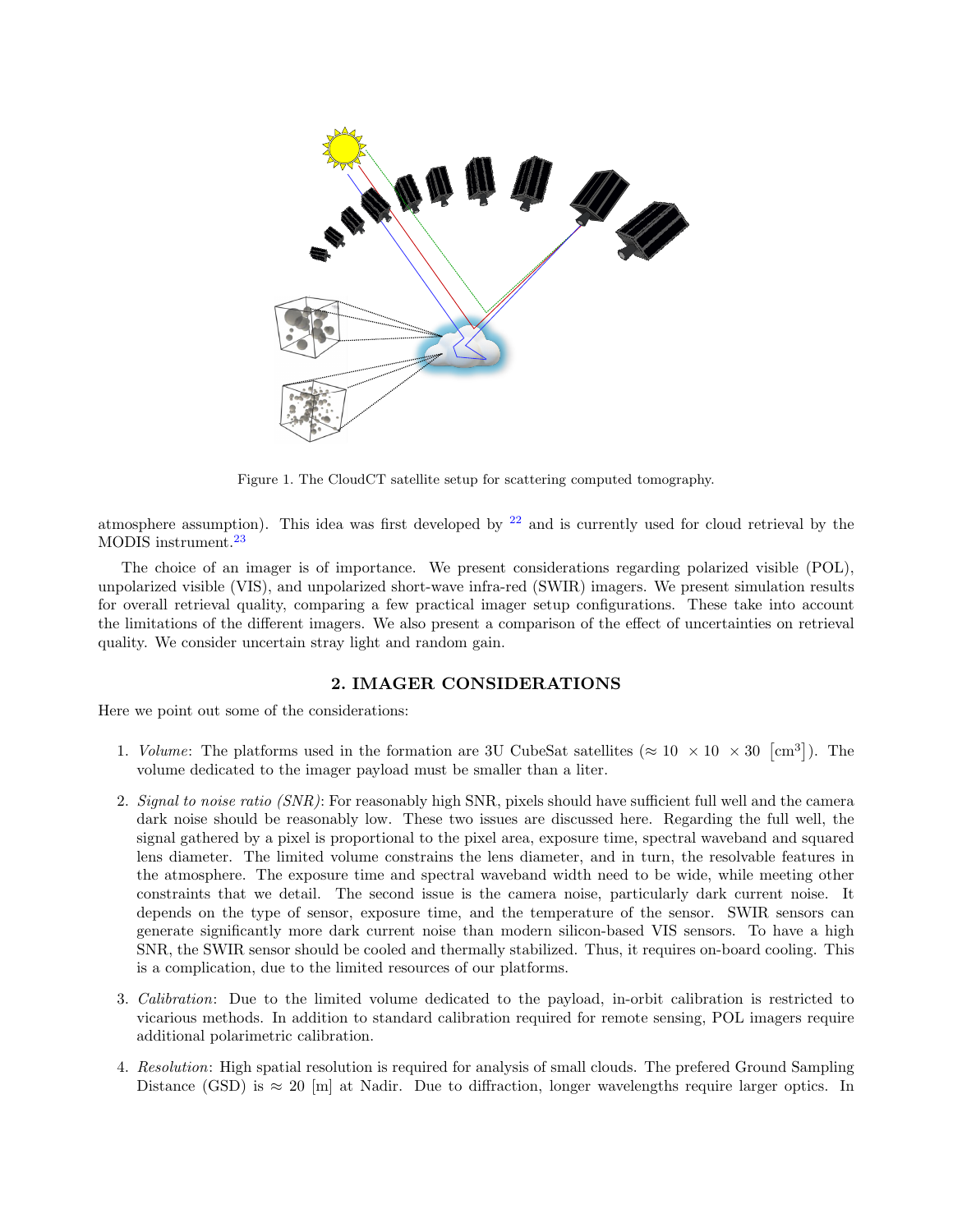

Figure 1. The CloudCT satellite setup for scattering computed tomography.

atmosphere assumption). This idea was first developed by  $22$  and is currently used for cloud retrieval by the MODIS instrument.<sup>[23](#page-7-4)</sup>

The choice of an imager is of importance. We present considerations regarding polarized visible (POL), unpolarized visible (VIS), and unpolarized short-wave infra-red (SWIR) imagers. We present simulation results for overall retrieval quality, comparing a few practical imager setup configurations. These take into account the limitations of the different imagers. We also present a comparison of the effect of uncertainties on retrieval quality. We consider uncertain stray light and random gain.

## 2. IMAGER CONSIDERATIONS

Here we point out some of the considerations:

- 1. Volume: The platforms used in the formation are 3U CubeSat satellites ( $\approx 10 \times 10 \times 30$  [cm<sup>3</sup>]). The volume dedicated to the imager payload must be smaller than a liter.
- 2. Signal to noise ratio (SNR): For reasonably high SNR, pixels should have sufficient full well and the camera dark noise should be reasonably low. These two issues are discussed here. Regarding the full well, the signal gathered by a pixel is proportional to the pixel area, exposure time, spectral waveband and squared lens diameter. The limited volume constrains the lens diameter, and in turn, the resolvable features in the atmosphere. The exposure time and spectral waveband width need to be wide, while meeting other constraints that we detail. The second issue is the camera noise, particularly dark current noise. It depends on the type of sensor, exposure time, and the temperature of the sensor. SWIR sensors can generate significantly more dark current noise than modern silicon-based VIS sensors. To have a high SNR, the SWIR sensor should be cooled and thermally stabilized. Thus, it requires on-board cooling. This is a complication, due to the limited resources of our platforms.
- 3. Calibration: Due to the limited volume dedicated to the payload, in-orbit calibration is restricted to vicarious methods. In addition to standard calibration required for remote sensing, POL imagers require additional polarimetric calibration.
- 4. Resolution: High spatial resolution is required for analysis of small clouds. The prefered Ground Sampling Distance (GSD) is  $\approx 20$  [m] at Nadir. Due to diffraction, longer wavelengths require larger optics. In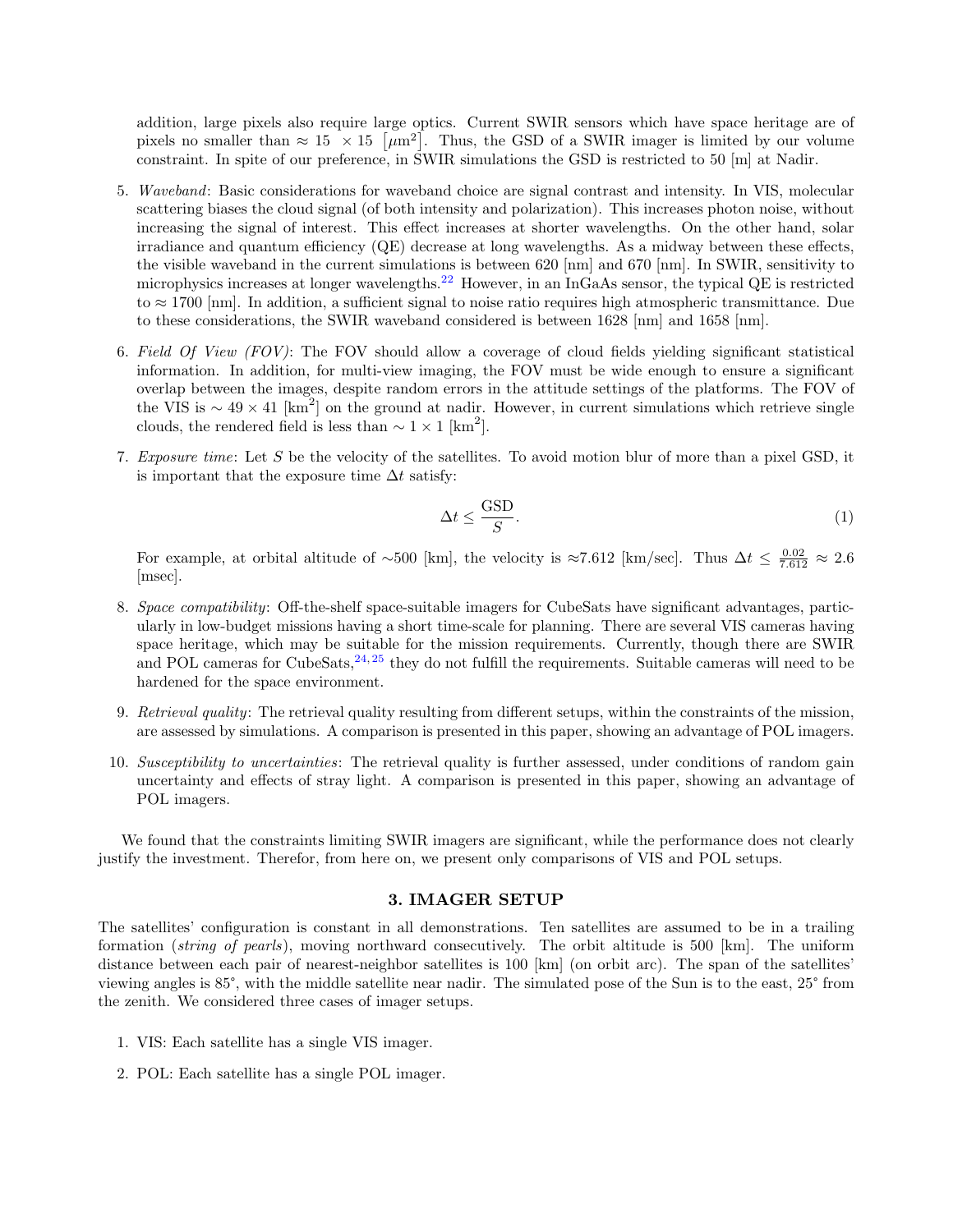addition, large pixels also require large optics. Current SWIR sensors which have space heritage are of pixels no smaller than  $\approx 15 \times 15$  [ $\mu$ m<sup>2</sup>]. Thus, the GSD of a SWIR imager is limited by our volume constraint. In spite of our preference, in SWIR simulations the GSD is restricted to 50 [m] at Nadir.

- 5. Waveband: Basic considerations for waveband choice are signal contrast and intensity. In VIS, molecular scattering biases the cloud signal (of both intensity and polarization). This increases photon noise, without increasing the signal of interest. This effect increases at shorter wavelengths. On the other hand, solar irradiance and quantum efficiency (QE) decrease at long wavelengths. As a midway between these effects, the visible waveband in the current simulations is between 620 [nm] and 670 [nm]. In SWIR, sensitivity to microphysics increases at longer wavelengths.<sup>[22](#page-7-3)</sup> However, in an InGaAs sensor, the typical QE is restricted to ≈ 1700 [nm]. In addition, a sufficient signal to noise ratio requires high atmospheric transmittance. Due to these considerations, the SWIR waveband considered is between 1628 [nm] and 1658 [nm].
- 6. Field Of View (FOV): The FOV should allow a coverage of cloud fields yielding significant statistical information. In addition, for multi-view imaging, the FOV must be wide enough to ensure a significant overlap between the images, despite random errors in the attitude settings of the platforms. The FOV of the VIS is  $\sim 49 \times 41$  [km<sup>2</sup>] on the ground at nadir. However, in current simulations which retrieve single clouds, the rendered field is less than  $\sim 1 \times 1$  [km<sup>2</sup>].
- 7. Exposure time: Let S be the velocity of the satellites. To avoid motion blur of more than a pixel GSD, it is important that the exposure time  $\Delta t$  satisfy:

$$
\Delta t \le \frac{\text{GSD}}{S}.\tag{1}
$$

For example, at orbital altitude of ~500 [km], the velocity is ≈7.612 [km/sec]. Thus  $\Delta t \le \frac{0.02}{7.612} \approx 2.6$ [msec].

- 8. Space compatibility: Off-the-shelf space-suitable imagers for CubeSats have significant advantages, particularly in low-budget missions having a short time-scale for planning. There are several VIS cameras having space heritage, which may be suitable for the mission requirements. Currently, though there are SWIR and POL cameras for CubeSats, $24,25$  $24,25$  they do not fulfill the requirements. Suitable cameras will need to be hardened for the space environment.
- 9. Retrieval quality: The retrieval quality resulting from different setups, within the constraints of the mission, are assessed by simulations. A comparison is presented in this paper, showing an advantage of POL imagers.
- 10. Susceptibility to uncertainties: The retrieval quality is further assessed, under conditions of random gain uncertainty and effects of stray light. A comparison is presented in this paper, showing an advantage of POL imagers.

We found that the constraints limiting SWIR imagers are significant, while the performance does not clearly justify the investment. Therefor, from here on, we present only comparisons of VIS and POL setups.

## 3. IMAGER SETUP

<span id="page-2-0"></span>The satellites' configuration is constant in all demonstrations. Ten satellites are assumed to be in a trailing formation (string of pearls), moving northward consecutively. The orbit altitude is 500 [km]. The uniform distance between each pair of nearest-neighbor satellites is 100 [km] (on orbit arc). The span of the satellites' viewing angles is 85°, with the middle satellite near nadir. The simulated pose of the Sun is to the east, 25° from the zenith. We considered three cases of imager setups.

- 1. VIS: Each satellite has a single VIS imager.
- 2. POL: Each satellite has a single POL imager.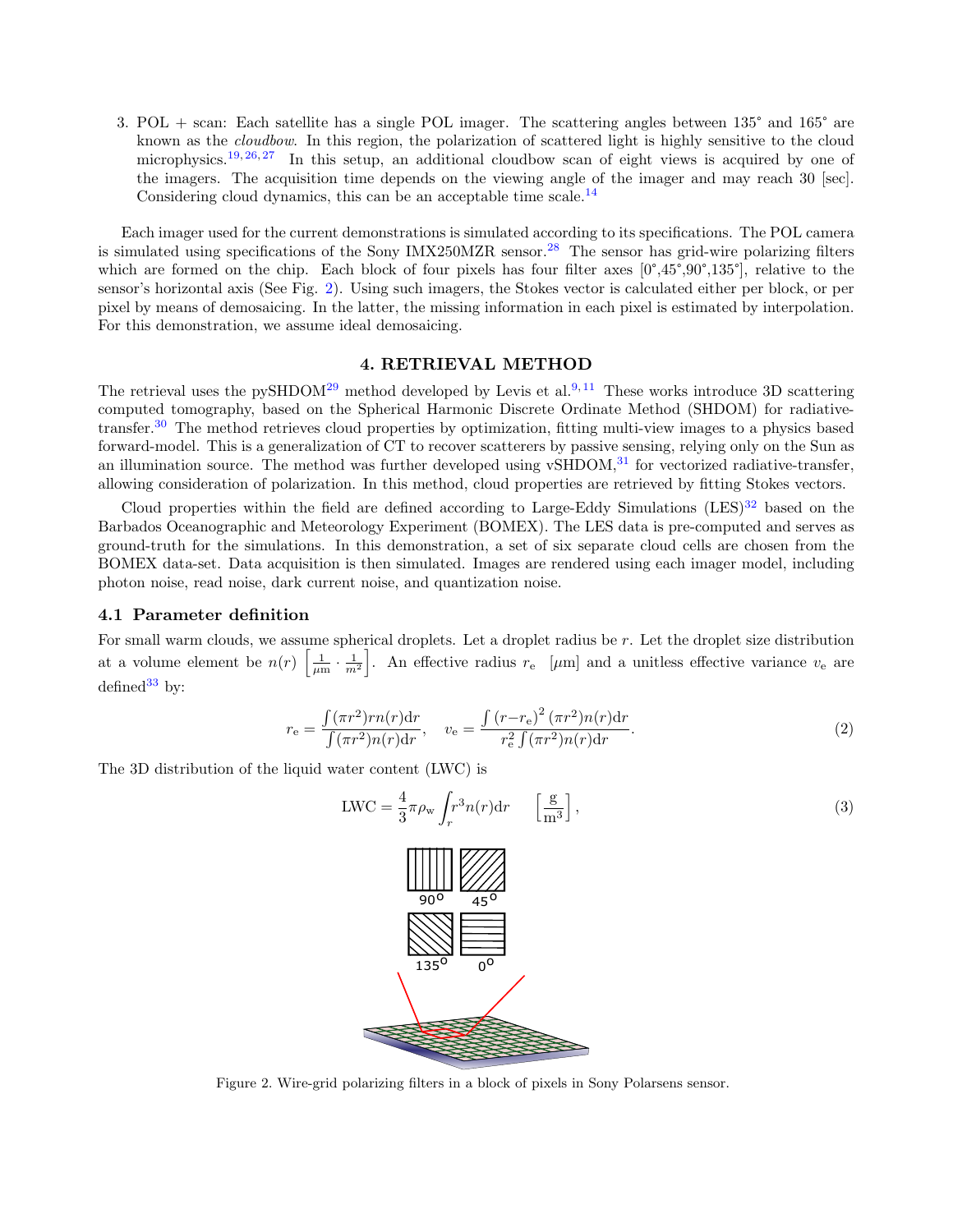3. POL + scan: Each satellite has a single POL imager. The scattering angles between 135° and 165° are known as the cloudbow. In this region, the polarization of scattered light is highly sensitive to the cloud microphysics.<sup>[19,](#page-7-1) [26,](#page-7-7) [27](#page-7-8)</sup> In this setup, an additional cloudbow scan of eight views is acquired by one of the imagers. The acquisition time depends on the viewing angle of the imager and may reach 30 [sec]. Considering cloud dynamics, this can be an acceptable time scale.<sup>[14](#page-6-5)</sup>

Each imager used for the current demonstrations is simulated according to its specifications. The POL camera is simulated using specifications of the Sony IMX250MZR sensor.<sup>[28](#page-7-9)</sup> The sensor has grid-wire polarizing filters which are formed on the chip. Each block of four pixels has four filter axes  $[0^\circ,45^\circ,90^\circ,135^\circ]$ , relative to the sensor's horizontal axis (See Fig. [2\)](#page-3-0). Using such imagers, the Stokes vector is calculated either per block, or per pixel by means of demosaicing. In the latter, the missing information in each pixel is estimated by interpolation. For this demonstration, we assume ideal demosaicing.

#### 4. RETRIEVAL METHOD

The retrieval uses the pySHDOM<sup>[29](#page-7-10)</sup> method developed by Levis et al.<sup>[9,](#page-6-6)[11](#page-6-9)</sup> These works introduce 3D scattering computed tomography, based on the Spherical Harmonic Discrete Ordinate Method (SHDOM) for radiativetransfer.[30](#page-7-11) The method retrieves cloud properties by optimization, fitting multi-view images to a physics based forward-model. This is a generalization of CT to recover scatterers by passive sensing, relying only on the Sun as an illumination source. The method was further developed using vSHDOM, $31$  for vectorized radiative-transfer, allowing consideration of polarization. In this method, cloud properties are retrieved by fitting Stokes vectors.

Cloud properties within the field are defined according to Large-Eddy Simulations  $(LES)^{32}$  $(LES)^{32}$  $(LES)^{32}$  based on the Barbados Oceanographic and Meteorology Experiment (BOMEX). The LES data is pre-computed and serves as ground-truth for the simulations. In this demonstration, a set of six separate cloud cells are chosen from the BOMEX data-set. Data acquisition is then simulated. Images are rendered using each imager model, including photon noise, read noise, dark current noise, and quantization noise.

#### 4.1 Parameter definition

For small warm clouds, we assume spherical droplets. Let a droplet radius be  $r$ . Let the droplet size distribution at a volume element be  $n(r) \left[\frac{1}{\mu m} \cdot \frac{1}{m^2}\right]$ . An effective radius  $r_e \left[\mu m\right]$  and a unitless effective variance  $v_e$  are defined $33$  by:

$$
r_{\rm e} = \frac{\int (\pi r^2) r n(r) \mathrm{d}r}{\int (\pi r^2) n(r) \mathrm{d}r}, \quad v_{\rm e} = \frac{\int (r - r_{\rm e})^2 (\pi r^2) n(r) \mathrm{d}r}{r_{\rm e}^2 \int (\pi r^2) n(r) \mathrm{d}r}.
$$
 (2)

The 3D distribution of the liquid water content (LWC) is

$$
LWC = \frac{4}{3}\pi \rho_w \int_r^3 n(r) dr \qquad \left[\frac{g}{m^3}\right],
$$
\n(3)



<span id="page-3-0"></span>Figure 2. Wire-grid polarizing filters in a block of pixels in Sony Polarsens sensor.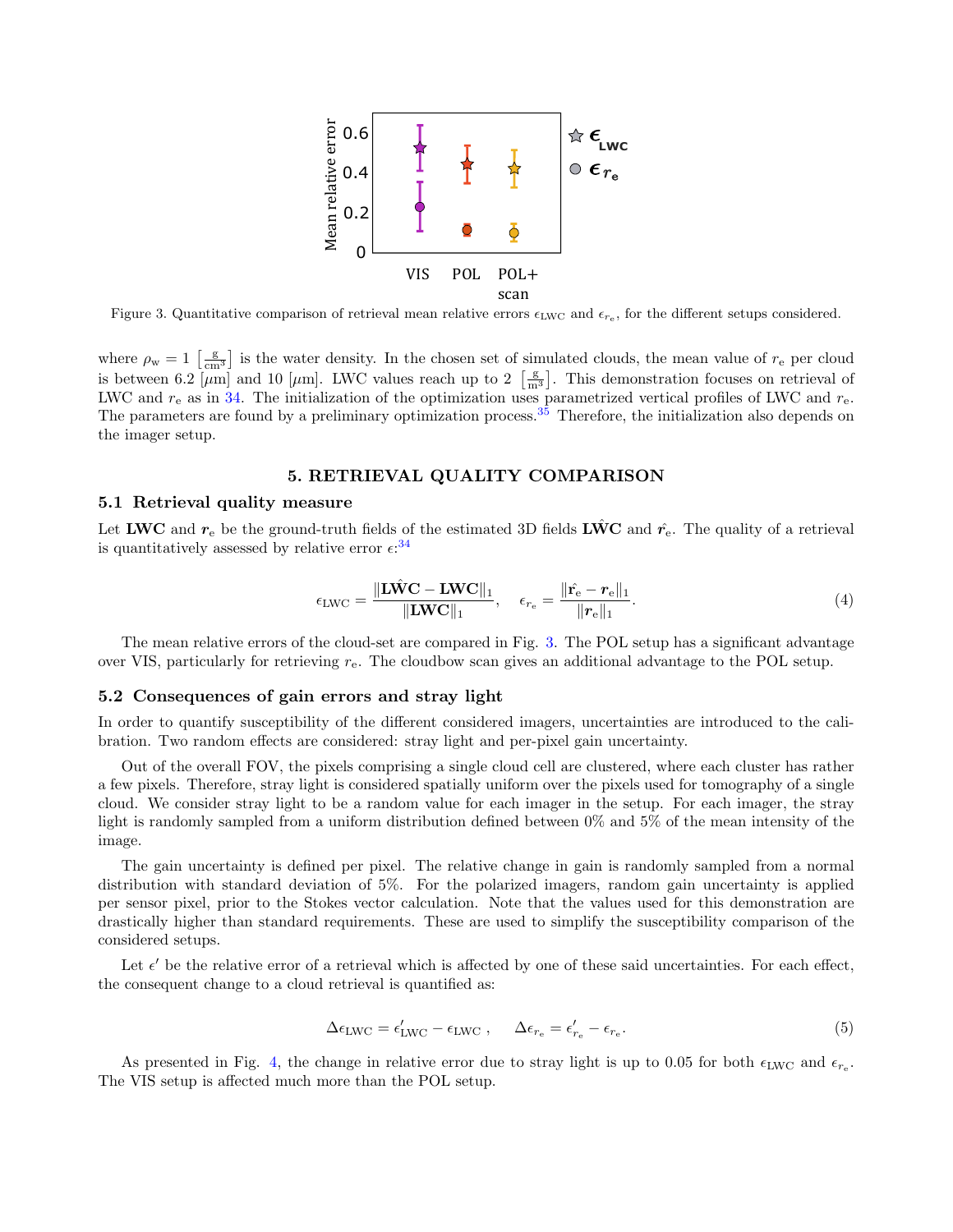

<span id="page-4-0"></span>Figure 3. Quantitative comparison of retrieval mean relative errors  $\epsilon_{\text{LWC}}$  and  $\epsilon_{re}$ , for the different setups considered.

where  $\rho_w = 1 \left[ \frac{g}{cm^3} \right]$  is the water density. In the chosen set of simulated clouds, the mean value of  $r_e$  per cloud is between 6.2  $\overline{[µm]}$  and 10  $\overline{[µm]}$ . LWC values reach up to 2  $\overline{[m^3]}$ . This demonstration focuses on retrieval of LWC and  $r_{e}$  as in [34.](#page-7-15) The initialization of the optimization uses parametrized vertical profiles of LWC and  $r_{e}$ . The parameters are found by a preliminary optimization process.[35](#page-7-16) Therefore, the initialization also depends on the imager setup.

#### 5. RETRIEVAL QUALITY COMPARISON

#### 5.1 Retrieval quality measure

Let LWC and  $r_e$  be the ground-truth fields of the estimated 3D fields LWC and  $\hat{r_e}$ . The quality of a retrieval is quantitatively assessed by relative error  $\epsilon$ <sup>[34](#page-7-15)</sup>

$$
\epsilon_{\text{LWC}} = \frac{\Vert \mathbf{L}\hat{\mathbf{WC}} - \mathbf{LWC} \Vert_1}{\Vert \mathbf{LWC} \Vert_1}, \quad \epsilon_{r_e} = \frac{\Vert \hat{\mathbf{r}_e} - \mathbf{r}_e \Vert_1}{\Vert \mathbf{r}_e \Vert_1}.
$$
(4)

The mean relative errors of the cloud-set are compared in Fig. [3.](#page-4-0) The POL setup has a significant advantage over VIS, particularly for retrieving  $r_{e}$ . The cloudbow scan gives an additional advantage to the POL setup.

#### 5.2 Consequences of gain errors and stray light

In order to quantify susceptibility of the different considered imagers, uncertainties are introduced to the calibration. Two random effects are considered: stray light and per-pixel gain uncertainty.

Out of the overall FOV, the pixels comprising a single cloud cell are clustered, where each cluster has rather a few pixels. Therefore, stray light is considered spatially uniform over the pixels used for tomography of a single cloud. We consider stray light to be a random value for each imager in the setup. For each imager, the stray light is randomly sampled from a uniform distribution defined between 0% and 5% of the mean intensity of the image.

The gain uncertainty is defined per pixel. The relative change in gain is randomly sampled from a normal distribution with standard deviation of 5%. For the polarized imagers, random gain uncertainty is applied per sensor pixel, prior to the Stokes vector calculation. Note that the values used for this demonstration are drastically higher than standard requirements. These are used to simplify the susceptibility comparison of the considered setups.

Let  $\epsilon'$  be the relative error of a retrieval which is affected by one of these said uncertainties. For each effect, the consequent change to a cloud retrieval is quantified as:

$$
\Delta \epsilon_{\text{LWC}} = \epsilon_{\text{LWC}}' - \epsilon_{\text{LWC}} \,, \qquad \Delta \epsilon_{r_e} = \epsilon_{r_e}' - \epsilon_{r_e}.\tag{5}
$$

As presented in Fig. [4,](#page-5-0) the change in relative error due to stray light is up to 0.05 for both  $\epsilon_{LWC}$  and  $\epsilon_{r_e}$ . The VIS setup is affected much more than the POL setup.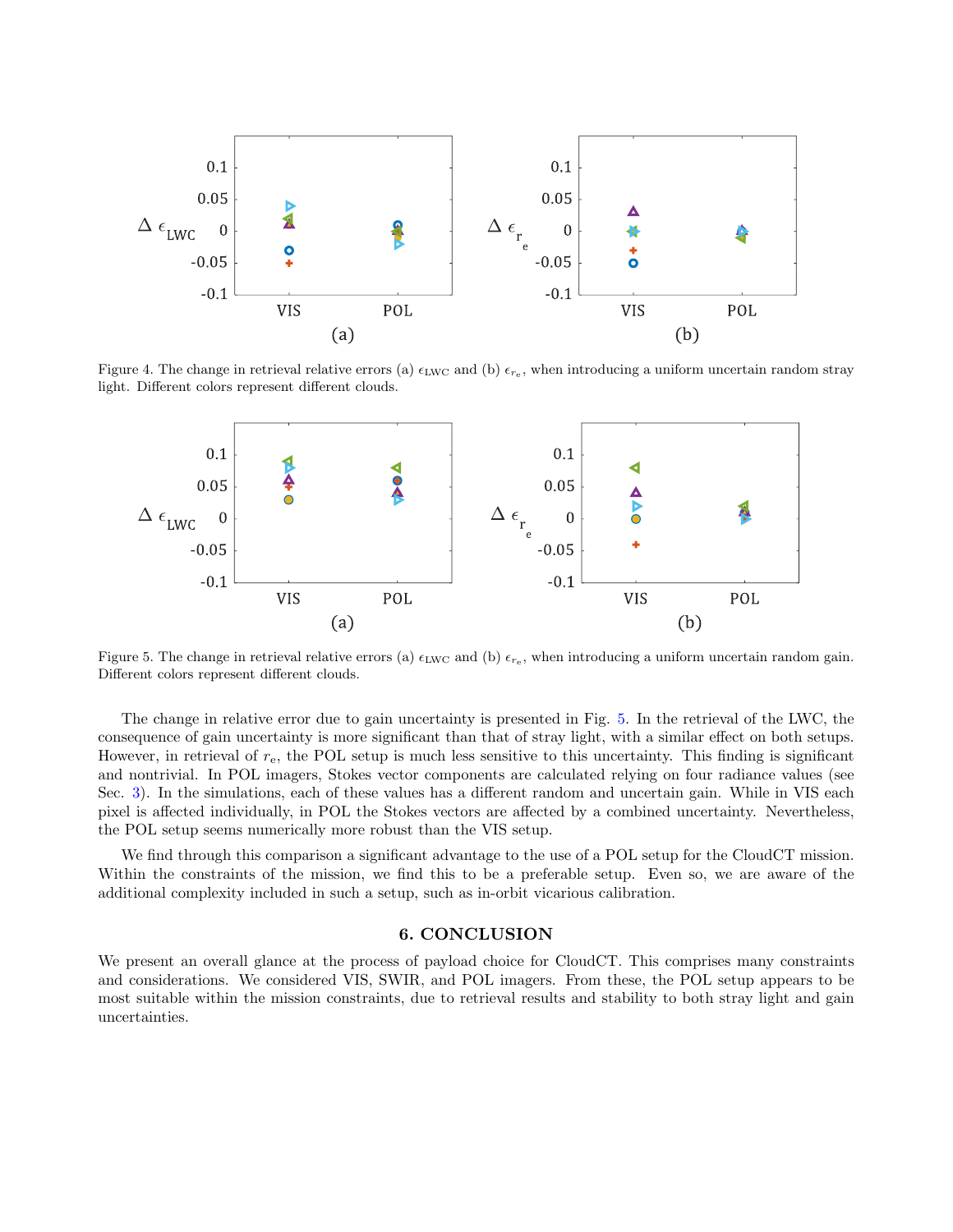

<span id="page-5-0"></span>Figure 4. The change in retrieval relative errors (a)  $\epsilon_{\rm LWC}$  and (b)  $\epsilon_{re}$ , when introducing a uniform uncertain random stray light. Different colors represent different clouds.



<span id="page-5-1"></span>Figure 5. The change in retrieval relative errors (a)  $\epsilon_{\rm LWC}$  and (b)  $\epsilon_{r_e}$ , when introducing a uniform uncertain random gain. Different colors represent different clouds.

The change in relative error due to gain uncertainty is presented in Fig. [5.](#page-5-1) In the retrieval of the LWC, the consequence of gain uncertainty is more significant than that of stray light, with a similar effect on both setups. However, in retrieval of  $r_{e}$ , the POL setup is much less sensitive to this uncertainty. This finding is significant and nontrivial. In POL imagers, Stokes vector components are calculated relying on four radiance values (see Sec. [3\)](#page-2-0). In the simulations, each of these values has a different random and uncertain gain. While in VIS each pixel is affected individually, in POL the Stokes vectors are affected by a combined uncertainty. Nevertheless, the POL setup seems numerically more robust than the VIS setup.

We find through this comparison a significant advantage to the use of a POL setup for the CloudCT mission. Within the constraints of the mission, we find this to be a preferable setup. Even so, we are aware of the additional complexity included in such a setup, such as in-orbit vicarious calibration.

## 6. CONCLUSION

We present an overall glance at the process of payload choice for CloudCT. This comprises many constraints and considerations. We considered VIS, SWIR, and POL imagers. From these, the POL setup appears to be most suitable within the mission constraints, due to retrieval results and stability to both stray light and gain uncertainties.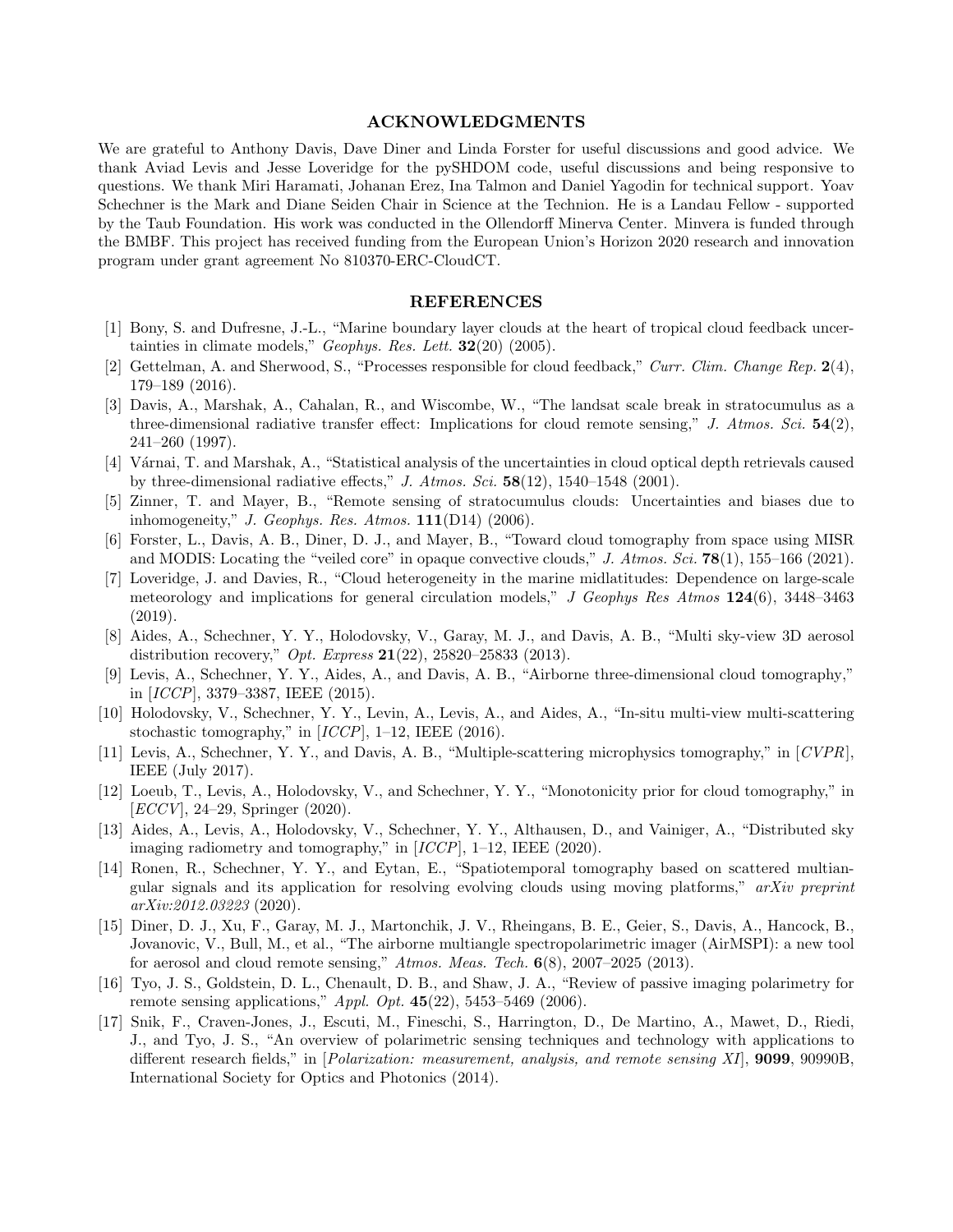#### ACKNOWLEDGMENTS

We are grateful to Anthony Davis, Dave Diner and Linda Forster for useful discussions and good advice. We thank Aviad Levis and Jesse Loveridge for the pySHDOM code, useful discussions and being responsive to questions. We thank Miri Haramati, Johanan Erez, Ina Talmon and Daniel Yagodin for technical support. Yoav Schechner is the Mark and Diane Seiden Chair in Science at the Technion. He is a Landau Fellow - supported by the Taub Foundation. His work was conducted in the Ollendorff Minerva Center. Minvera is funded through the BMBF. This project has received funding from the European Union's Horizon 2020 research and innovation program under grant agreement No 810370-ERC-CloudCT.

#### REFERENCES

- <span id="page-6-0"></span>[1] Bony, S. and Dufresne, J.-L., "Marine boundary layer clouds at the heart of tropical cloud feedback uncertainties in climate models," Geophys. Res. Lett.  $32(20)$  (2005).
- <span id="page-6-1"></span>[2] Gettelman, A. and Sherwood, S., "Processes responsible for cloud feedback," Curr. Clim. Change Rep. 2(4), 179–189 (2016).
- <span id="page-6-2"></span>[3] Davis, A., Marshak, A., Cahalan, R., and Wiscombe, W., "The landsat scale break in stratocumulus as a three-dimensional radiative transfer effect: Implications for cloud remote sensing," J. Atmos. Sci.  $54(2)$ , 241–260 (1997).
- [4] V´arnai, T. and Marshak, A., "Statistical analysis of the uncertainties in cloud optical depth retrievals caused by three-dimensional radiative effects," J. Atmos. Sci.  $58(12)$ , 1540–1548 (2001).
- [5] Zinner, T. and Mayer, B., "Remote sensing of stratocumulus clouds: Uncertainties and biases due to inhomogeneity," J. Geophys. Res. Atmos.  $111(D14)$  (2006).
- [6] Forster, L., Davis, A. B., Diner, D. J., and Mayer, B., "Toward cloud tomography from space using MISR and MODIS: Locating the "veiled core" in opaque convective clouds," J. Atmos. Sci.  $78(1)$ , 155–166 (2021).
- <span id="page-6-3"></span>[7] Loveridge, J. and Davies, R., "Cloud heterogeneity in the marine midlatitudes: Dependence on large-scale meteorology and implications for general circulation models," J Geophys Res Atmos 124(6), 3448–3463 (2019).
- <span id="page-6-4"></span>[8] Aides, A., Schechner, Y. Y., Holodovsky, V., Garay, M. J., and Davis, A. B., "Multi sky-view 3D aerosol distribution recovery," *Opt. Express*  $21(22)$ ,  $25820-25833$  (2013).
- <span id="page-6-6"></span>[9] Levis, A., Schechner, Y. Y., Aides, A., and Davis, A. B., "Airborne three-dimensional cloud tomography," in [ICCP], 3379–3387, IEEE (2015).
- [10] Holodovsky, V., Schechner, Y. Y., Levin, A., Levis, A., and Aides, A., "In-situ multi-view multi-scattering stochastic tomography," in  $[ICCP]$ , 1–12, IEEE (2016).
- <span id="page-6-9"></span>[11] Levis, A., Schechner, Y. Y., and Davis, A. B., "Multiple-scattering microphysics tomography," in [CVPR], IEEE (July 2017).
- [12] Loeub, T., Levis, A., Holodovsky, V., and Schechner, Y. Y., "Monotonicity prior for cloud tomography," in  $[ECCV], 24–29, Springer (2020).$
- [13] Aides, A., Levis, A., Holodovsky, V., Schechner, Y. Y., Althausen, D., and Vainiger, A., "Distributed sky imaging radiometry and tomography," in [ICCP], 1–12, IEEE (2020).
- <span id="page-6-5"></span>[14] Ronen, R., Schechner, Y. Y., and Eytan, E., "Spatiotemporal tomography based on scattered multiangular signals and its application for resolving evolving clouds using moving platforms," arXiv preprint arXiv:2012.03223 (2020).
- <span id="page-6-7"></span>[15] Diner, D. J., Xu, F., Garay, M. J., Martonchik, J. V., Rheingans, B. E., Geier, S., Davis, A., Hancock, B., Jovanovic, V., Bull, M., et al., "The airborne multiangle spectropolarimetric imager (AirMSPI): a new tool for aerosol and cloud remote sensing,"  $Atmos.$  Meas. Tech.  $6(8)$ , 2007–2025 (2013).
- [16] Tyo, J. S., Goldstein, D. L., Chenault, D. B., and Shaw, J. A., "Review of passive imaging polarimetry for remote sensing applications," *Appl. Opt.*  $45(22)$ , 5453-5469 (2006).
- <span id="page-6-8"></span>[17] Snik, F., Craven-Jones, J., Escuti, M., Fineschi, S., Harrington, D., De Martino, A., Mawet, D., Riedi, J., and Tyo, J. S., "An overview of polarimetric sensing techniques and technology with applications to different research fields," in [*Polarization: measurement, analysis, and remote sensing XI*], **9099**, 90990B, International Society for Optics and Photonics (2014).